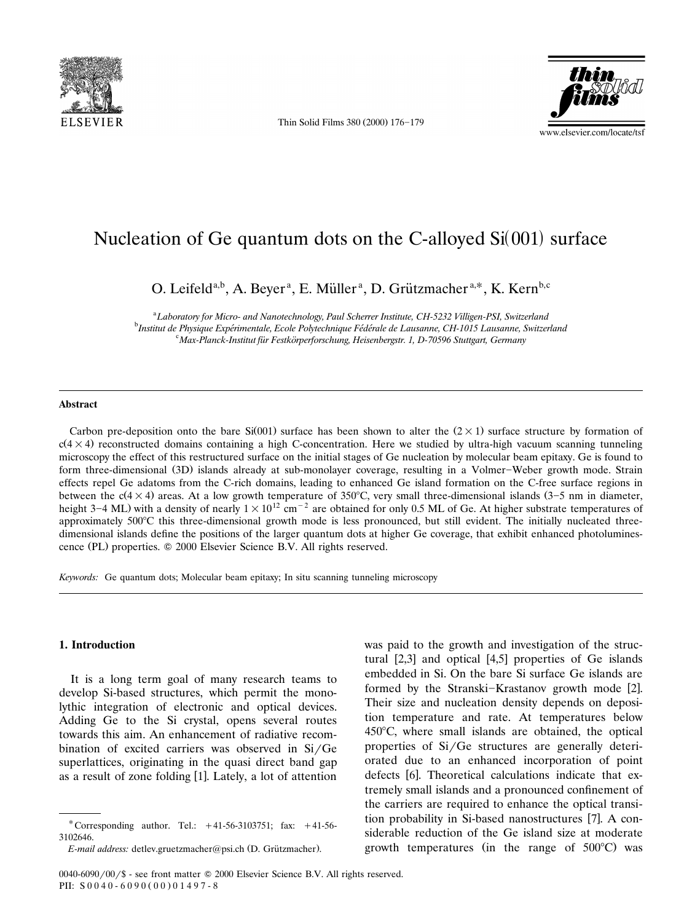

Thin Solid Films 380 (2000) 176-179



# Nucleation of Ge quantum dots on the C-alloyed  $Si(001)$  surface

O. Leifeld<sup>a,b</sup>, A. Beyer<sup>a</sup>, E. Müller<sup>a</sup>, D. Grützmacher<sup>a,\*</sup>, K. Kern<sup>b,c</sup>

<sup>a</sup> Laboratory for Micro- and Nanotechnology, Paul Scherrer Institute, CH-5232 Villigen-PSI, Switzerland<br><sup>b</sup>Instituteda Physique Emérinemetale, Escle Pohtschnique Eédérale de Lauganue, CH-1015 Lauganue, Switzer <sup>b</sup>Institut de Physique Expérimentale, Ecole Polytechnique Fédérale de Lausanne, CH-1015 Lausanne, Switzerland *Max-Planck-Institut fur Festkorperforschung, Heisenbergstr. 1, D-70596 Stuttgart, Germany* ¨ ¨

#### **Abstract**

Carbon pre-deposition onto the bare Si(001) surface has been shown to alter the  $(2 \times 1)$  surface structure by formation of  $c(4\times4)$  reconstructed domains containing a high C-concentration. Here we studied by ultra-high vacuum scanning tunneling microscopy the effect of this restructured surface on the initial stages of Ge nucleation by molecular beam epitaxy. Ge is found to form three-dimensional (3D) islands already at sub-monolayer coverage, resulting in a Volmer-Weber growth mode. Strain effects repel Ge adatoms from the C-rich domains, leading to enhanced Ge island formation on the C-free surface regions in between the  $c(4 \times 4)$  areas. At a low growth temperature of 350°C, very small three-dimensional islands (3–5 nm in diameter, height 3–4 ML) with a density of nearly  $1\times10^{12}$  cm<sup>-2</sup> are obtained for only 0.5 ML of Ge. At higher substrate temperatures of approximately  $500^{\circ}$ C this three-dimensional growth mode is less pronounced, but still evident. The initially nucleated threedimensional islands define the positions of the larger quantum dots at higher Ge coverage, that exhibit enhanced photoluminescence (PL) properties.  $© 2000$  Elsevier Science B.V. All rights reserved.

*Keywords:* Ge quantum dots; Molecular beam epitaxy; In situ scanning tunneling microscopy

### **1. Introduction**

It is a long term goal of many research teams to develop Si-based structures, which permit the monolythic integration of electronic and optical devices. Adding Ge to the Si crystal, opens several routes towards this aim. An enhancement of radiative recombination of excited carriers was observed in  $Si/Ge$ superlattices, originating in the quasi direct band gap as a result of zone folding [1]. Lately, a lot of attention

was paid to the growth and investigation of the structural  $[2,3]$  and optical  $[4,5]$  properties of Ge islands embedded in Si. On the bare Si surface Ge islands are formed by the Stranski-Krastanov growth mode [2]. Their size and nucleation density depends on deposition temperature and rate. At temperatures below  $450^{\circ}$ C, where small islands are obtained, the optical properties of  $Si/Ge$  structures are generally deteriorated due to an enhanced incorporation of point defects [6]. Theoretical calculations indicate that extremely small islands and a pronounced confinement of the carriers are required to enhance the optical transition probability in Si-based nanostructures [7]. A considerable reduction of the Ge island size at moderate growth temperatures (in the range of  $500^{\circ}$ C) was

<sup>\*</sup> Corresponding author. Tel.:  $+41-56-3103751$ ; fax:  $+41-56-$ 3102646.

*E-mail address: detlev.gruetzmacher@psi.ch (D. Grützmacher).* 

<sup>0040-6090/00/\$ -</sup> see front matter © 2000 Elsevier Science B.V. All rights reserved. PII:  $S_0 0 4 0 - 6 0 9 0 (0 0 0 1 4 9 7 - 8$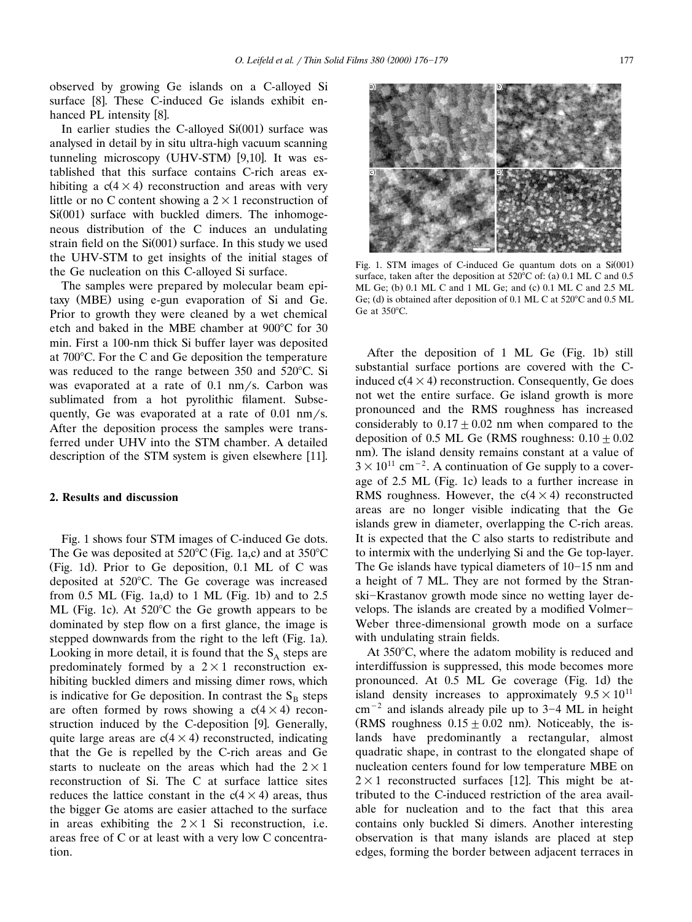observed by growing Ge islands on a C-alloyed Si surface [8]. These C-induced Ge islands exhibit enhanced PL intensity [8].

In earlier studies the C-alloyed  $Si(001)$  surface was analysed in detail by in situ ultra-high vacuum scanning tunneling microscopy (UHV-STM)  $[9,10]$ . It was established that this surface contains C-rich areas exhibiting a  $c(4 \times 4)$  reconstruction and areas with very little or no C content showing a  $2\times1$  reconstruction of  $Si(001)$  surface with buckled dimers. The inhomogeneous distribution of the C induces an undulating strain field on the  $Si(001)$  surface. In this study we used the UHV-STM to get insights of the initial stages of the Ge nucleation on this C-alloyed Si surface.

The samples were prepared by molecular beam epitaxy (MBE) using e-gun evaporation of Si and Ge. Prior to growth they were cleaned by a wet chemical etch and baked in the MBE chamber at  $900^{\circ}$ C for 30 min. First a 100-nm thick Si buffer layer was deposited at 700°C. For the C and Ge deposition the temperature was reduced to the range between  $350$  and  $520^{\circ}$ C. Si was evaporated at a rate of  $0.1 \, \text{nm/s}$ . Carbon was sublimated from a hot pyrolithic filament. Subsequently, Ge was evaporated at a rate of  $0.01 \text{ nm/s}$ . After the deposition process the samples were transferred under UHV into the STM chamber. A detailed description of the STM system is given elsewhere  $[11]$ .

#### **2. Results and discussion**

Fig. 1 shows four STM images of C-induced Ge dots. The Ge was deposited at  $520^{\circ}$ C (Fig. 1a,c) and at  $350^{\circ}$ C (Fig. 1d). Prior to Ge deposition,  $0.1$  ML of C was deposited at 520°C. The Ge coverage was increased from 0.5 ML (Fig. 1a,d) to 1 ML (Fig. 1b) and to  $2.5$ ML (Fig. 1c). At  $520^{\circ}$ C the Ge growth appears to be dominated by step flow on a first glance, the image is stepped downwards from the right to the left (Fig. 1a). Looking in more detail, it is found that the  $S_A$  steps are predominately formed by a  $2\times1$  reconstruction exhibiting buckled dimers and missing dimer rows, which is indicative for Ge deposition. In contrast the  $S_B$  steps are often formed by rows showing a  $c(4 \times 4)$  reconstruction induced by the C-deposition [9]. Generally, quite large areas are  $c(4 \times 4)$  reconstructed, indicating that the Ge is repelled by the C-rich areas and Ge starts to nucleate on the areas which had the  $2\times1$ reconstruction of Si. The C at surface lattice sites reduces the lattice constant in the  $c(4 \times 4)$  areas, thus the bigger Ge atoms are easier attached to the surface in areas exhibiting the  $2\times1$  Si reconstruction, i.e. areas free of C or at least with a very low C concentration.



Fig. 1. STM images of C-induced Ge quantum dots on a Si(001) surface, taken after the deposition at  $520^{\circ}$ C of: (a) 0.1 ML C and 0.5 ML Ge; (b)  $0.1$  ML C and  $1$  ML Ge; and (c)  $0.1$  ML C and  $2.5$  ML Ge; (d) is obtained after deposition of  $0.1$  ML C at  $520^{\circ}$ C and  $0.5$  ML Ge at  $350^{\circ}$ C.

After the deposition of  $1$  ML Ge (Fig. 1b) still substantial surface portions are covered with the Cinduced  $c(4 \times 4)$  reconstruction. Consequently, Ge does not wet the entire surface. Ge island growth is more pronounced and the RMS roughness has increased considerably to  $0.17 \pm 0.02$  nm when compared to the deposition of 0.5 ML Ge (RMS roughness:  $0.10 \pm 0.02$ ) nm). The island density remains constant at a value of  $3\times10^{11}$  cm<sup>-2</sup>. A continuation of Ge supply to a coverage of  $2.5$  ML (Fig. 1c) leads to a further increase in RMS roughness. However, the  $c(4 \times 4)$  reconstructed areas are no longer visible indicating that the Ge islands grew in diameter, overlapping the C-rich areas. It is expected that the C also starts to redistribute and to intermix with the underlying Si and the Ge top-layer. The Ge islands have typical diameters of  $10-15$  nm and a height of 7 ML. They are not formed by the Stranski-Krastanov growth mode since no wetting layer develops. The islands are created by a modified Volmer-Weber three-dimensional growth mode on a surface with undulating strain fields.

At  $350^{\circ}$ C, where the adatom mobility is reduced and interdiffussion is suppressed, this mode becomes more pronounced. At 0.5 ML Ge coverage (Fig. 1d) the island density increases to approximately  $9.5\times10^{11}$  $cm^{-2}$  and islands already pile up to 3–4 ML in height (RMS roughness  $0.15 \pm 0.02$  nm). Noticeably, the islands have predominantly a rectangular, almost quadratic shape, in contrast to the elongated shape of nucleation centers found for low temperature MBE on  $2\times1$  reconstructed surfaces [12]. This might be attributed to the C-induced restriction of the area available for nucleation and to the fact that this area contains only buckled Si dimers. Another interesting observation is that many islands are placed at step edges, forming the border between adjacent terraces in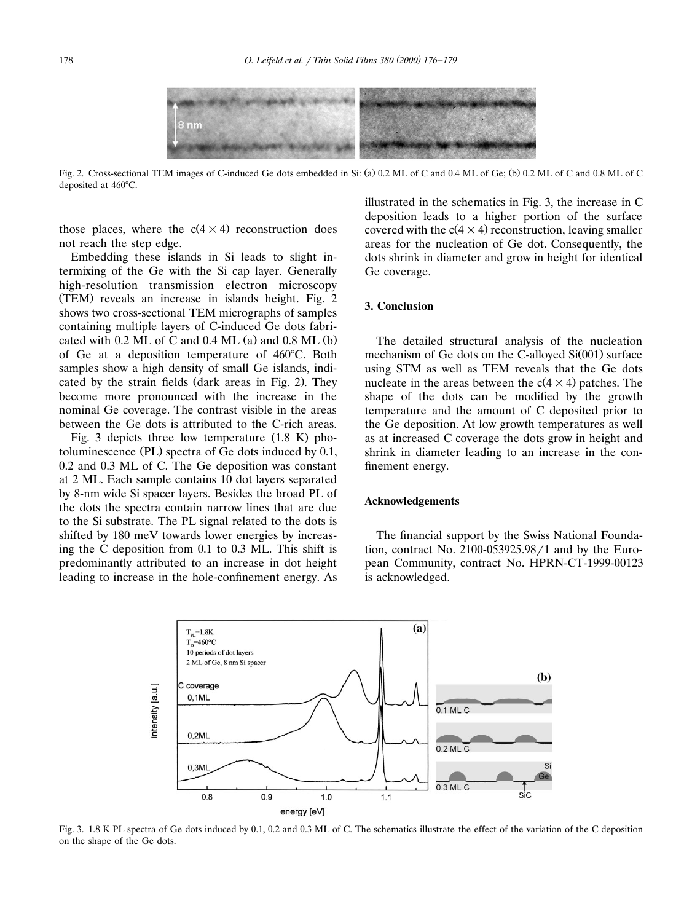

Fig. 2. Cross-sectional TEM images of C-induced Ge dots embedded in Si: (a) 0.2 ML of C and 0.4 ML of Ge; (b) 0.2 ML of C and 0.8 ML of C deposited at 460°C.

those places, where the  $c(4 \times 4)$  reconstruction does not reach the step edge.

Embedding these islands in Si leads to slight intermixing of the Ge with the Si cap layer. Generally high-resolution transmission electron microscopy (TEM) reveals an increase in islands height. Fig. 2 shows two cross-sectional TEM micrographs of samples containing multiple layers of C-induced Ge dots fabricated with  $0.2$  ML of C and  $0.4$  ML  $(a)$  and  $0.8$  ML  $(b)$ of Ge at a deposition temperature of  $460^{\circ}$ C. Both samples show a high density of small Ge islands, indicated by the strain fields (dark areas in Fig. 2). They become more pronounced with the increase in the nominal Ge coverage. The contrast visible in the areas between the Ge dots is attributed to the C-rich areas.

Fig. 3 depicts three low temperature  $(1.8 \text{ K})$  photoluminescence (PL) spectra of Ge dots induced by  $0.1$ , 0.2 and 0.3 ML of C. The Ge deposition was constant at 2 ML. Each sample contains 10 dot layers separated by 8-nm wide Si spacer layers. Besides the broad PL of the dots the spectra contain narrow lines that are due to the Si substrate. The PL signal related to the dots is shifted by 180 meV towards lower energies by increasing the C deposition from 0.1 to 0.3 ML. This shift is predominantly attributed to an increase in dot height leading to increase in the hole-confinement energy. As illustrated in the schematics in Fig. 3, the increase in C deposition leads to a higher portion of the surface covered with the  $c(4 \times 4)$  reconstruction, leaving smaller areas for the nucleation of Ge dot. Consequently, the dots shrink in diameter and grow in height for identical Ge coverage.

## **3. Conclusion**

The detailed structural analysis of the nucleation mechanism of Ge dots on the C-alloyed  $Si(001)$  surface using STM as well as TEM reveals that the Ge dots nucleate in the areas between the  $c(4 \times 4)$  patches. The shape of the dots can be modified by the growth temperature and the amount of C deposited prior to the Ge deposition. At low growth temperatures as well as at increased C coverage the dots grow in height and shrink in diameter leading to an increase in the confinement energy.

## **Acknowledgements**

The financial support by the Swiss National Foundation, contract No.  $2100-053925.98/1$  and by the European Community, contract No. HPRN-CT-1999-00123 is acknowledged.



Fig. 3. 1.8 K PL spectra of Ge dots induced by 0.1, 0.2 and 0.3 ML of C. The schematics illustrate the effect of the variation of the C deposition on the shape of the Ge dots.